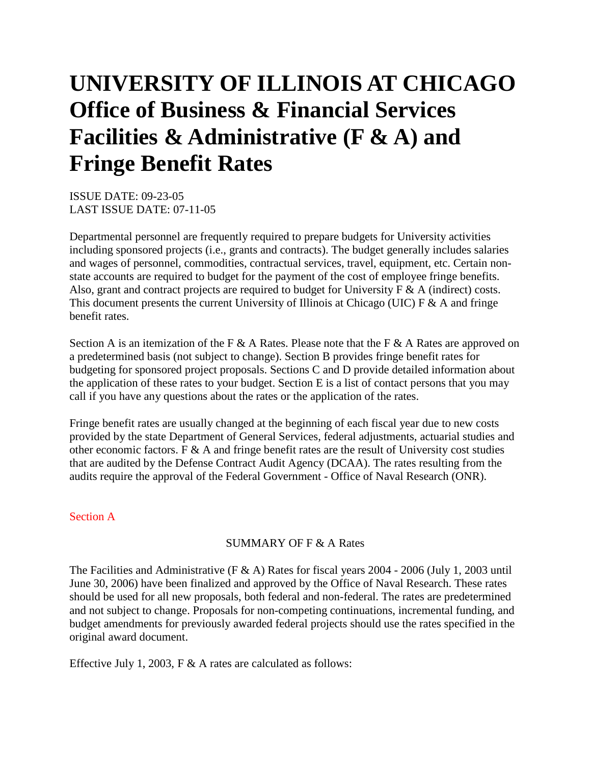# **UNIVERSITY OF ILLINOIS AT CHICAGO Office of Business & Financial Services Facilities & Administrative (F & A) and Fringe Benefit Rates**

ISSUE DATE: 09-23-05 LAST ISSUE DATE: 07-11-05

Departmental personnel are frequently required to prepare budgets for University activities including sponsored projects (i.e., grants and contracts). The budget generally includes salaries and wages of personnel, commodities, contractual services, travel, equipment, etc. Certain nonstate accounts are required to budget for the payment of the cost of employee fringe benefits. Also, grant and contract projects are required to budget for University  $F \& A$  (indirect) costs. This document presents the current University of Illinois at Chicago (UIC)  $F \& A$  and fringe benefit rates.

Section A is an itemization of the F & A Rates. Please note that the F & A Rates are approved on a predetermined basis (not subject to change). Section B provides fringe benefit rates for budgeting for sponsored project proposals. Sections C and D provide detailed information about the application of these rates to your budget. Section E is a list of contact persons that you may call if you have any questions about the rates or the application of the rates.

Fringe benefit rates are usually changed at the beginning of each fiscal year due to new costs provided by the state Department of General Services, federal adjustments, actuarial studies and other economic factors.  $F \& A$  and fringe benefit rates are the result of University cost studies that are audited by the Defense Contract Audit Agency (DCAA). The rates resulting from the audits require the approval of the Federal Government - Office of Naval Research (ONR).

# Section A

### SUMMARY OF F & A Rates

The Facilities and Administrative (F & A) Rates for fiscal years 2004 - 2006 (July 1, 2003 until June 30, 2006) have been finalized and approved by the Office of Naval Research. These rates should be used for all new proposals, both federal and non-federal. The rates are predetermined and not subject to change. Proposals for non-competing continuations, incremental funding, and budget amendments for previously awarded federal projects should use the rates specified in the original award document.

Effective July 1, 2003, F & A rates are calculated as follows: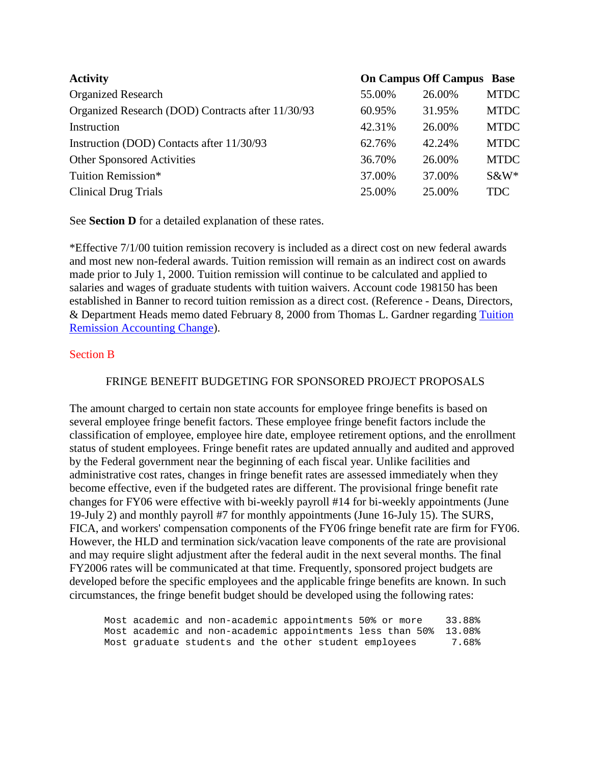| <b>Activity</b>                                   |        | <b>On Campus Off Campus Base</b> |             |
|---------------------------------------------------|--------|----------------------------------|-------------|
| <b>Organized Research</b>                         | 55.00% | 26.00%                           | <b>MTDC</b> |
| Organized Research (DOD) Contracts after 11/30/93 | 60.95% | 31.95%                           | <b>MTDC</b> |
| Instruction                                       | 42.31% | 26.00%                           | <b>MTDC</b> |
| Instruction (DOD) Contacts after 11/30/93         | 62.76% | 42.24%                           | <b>MTDC</b> |
| <b>Other Sponsored Activities</b>                 | 36.70% | 26.00%                           | <b>MTDC</b> |
| Tuition Remission*                                | 37.00% | 37.00%                           | $S\&W^*$    |
| <b>Clinical Drug Trials</b>                       | 25.00% | 25.00%                           | <b>TDC</b>  |

See **Section D** for a detailed explanation of these rates.

\*Effective 7/1/00 tuition remission recovery is included as a direct cost on new federal awards and most new non-federal awards. Tuition remission will remain as an indirect cost on awards made prior to July 1, 2000. Tuition remission will continue to be calculated and applied to salaries and wages of graduate students with tuition waivers. Account code 198150 has been established in Banner to record tuition remission as a direct cost. (Reference - Deans, Directors, & Department Heads memo dated February 8, 2000 from Thomas L. Gardner regarding Tuition Remission Accounting Change).

### Section B

#### FRINGE BENEFIT BUDGETING FOR SPONSORED PROJECT PROPOSALS

The amount charged to certain non state accounts for employee fringe benefits is based on several employee fringe benefit factors. These employee fringe benefit factors include the classification of employee, employee hire date, employee retirement options, and the enrollment status of student employees. Fringe benefit rates are updated annually and audited and approved by the Federal government near the beginning of each fiscal year. Unlike facilities and administrative cost rates, changes in fringe benefit rates are assessed immediately when they become effective, even if the budgeted rates are different. The provisional fringe benefit rate changes for FY06 were effective with bi-weekly payroll #14 for bi-weekly appointments (June 19-July 2) and monthly payroll #7 for monthly appointments (June 16-July 15). The SURS, FICA, and workers' compensation components of the FY06 fringe benefit rate are firm for FY06. However, the HLD and termination sick/vacation leave components of the rate are provisional and may require slight adjustment after the federal audit in the next several months. The final FY2006 rates will be communicated at that time. Frequently, sponsored project budgets are developed before the specific employees and the applicable fringe benefits are known. In such circumstances, the fringe benefit budget should be developed using the following rates:

|  |  | Most academic and non-academic appointments 50% or more |                                                                  | 33.88% |
|--|--|---------------------------------------------------------|------------------------------------------------------------------|--------|
|  |  |                                                         | Most academic and non-academic appointments less than 50% 13.08% |        |
|  |  | Most graduate students and the other student employees  |                                                                  | 7.68%  |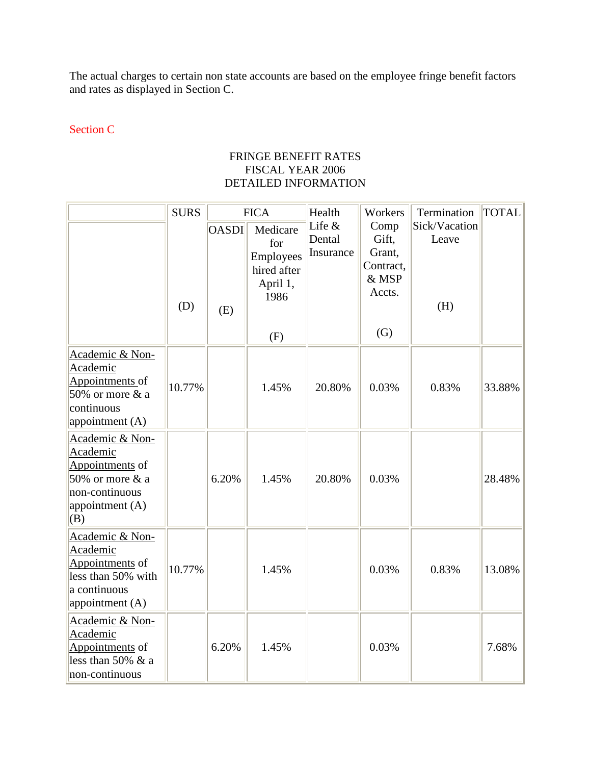The actual charges to certain non state accounts are based on the employee fringe benefit factors and rates as displayed in Section C.

# Section C

## FRINGE BENEFIT RATES FISCAL YEAR 2006 DETAILED INFORMATION

|                                                                                                               | <b>SURS</b> | <b>FICA</b>         |                                                                        | Health                          | Workers                                                        | Termination                   | <b>TOTAL</b> |
|---------------------------------------------------------------------------------------------------------------|-------------|---------------------|------------------------------------------------------------------------|---------------------------------|----------------------------------------------------------------|-------------------------------|--------------|
|                                                                                                               | (D)         | <b>OASDI</b><br>(E) | Medicare<br>for<br>Employees<br>hired after<br>April 1,<br>1986<br>(F) | Life $&$<br>Dental<br>Insurance | Comp<br>Gift,<br>Grant,<br>Contract,<br>& MSP<br>Accts.<br>(G) | Sick/Vacation<br>Leave<br>(H) |              |
| Academic & Non-<br>Academic<br>Appointments of<br>50% or more $&$ a<br>continuous<br>appointment (A)          | 10.77%      |                     | 1.45%                                                                  | 20.80%                          | 0.03%                                                          | 0.83%                         | 33.88%       |
| Academic & Non-<br>Academic<br>Appointments of<br>50% or more & a<br>non-continuous<br>appointment (A)<br>(B) |             | 6.20%               | 1.45%                                                                  | 20.80%                          | 0.03%                                                          |                               | 28.48%       |
| Academic & Non-<br>Academic<br>Appointments of<br>less than 50% with<br>a continuous<br>appointment (A)       | 10.77%      |                     | 1.45%                                                                  |                                 | 0.03%                                                          | 0.83%                         | 13.08%       |
| Academic & Non-<br>Academic<br>Appointments of<br>less than $50\%$ & a<br>non-continuous                      |             | 6.20%               | 1.45%                                                                  |                                 | 0.03%                                                          |                               | 7.68%        |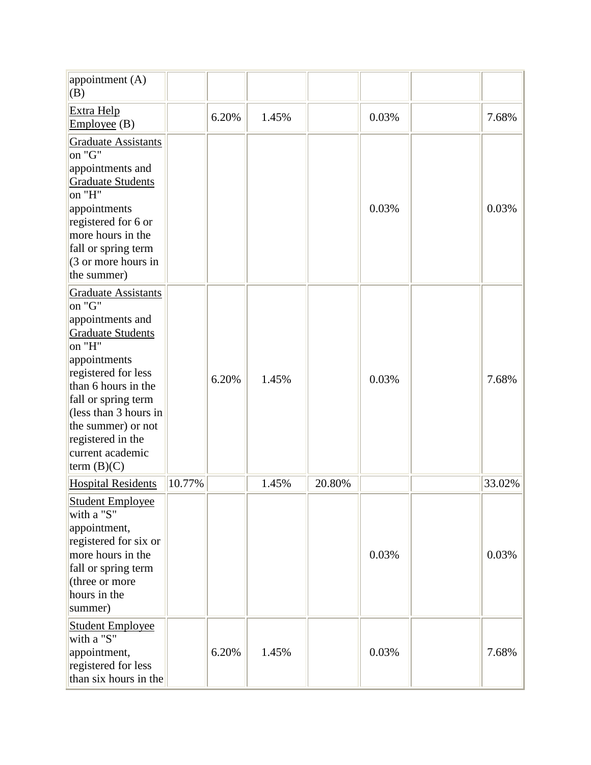| appointment (A)<br>(B)                                                                                                                                                                                                                                                                       |        |       |       |        |       |        |
|----------------------------------------------------------------------------------------------------------------------------------------------------------------------------------------------------------------------------------------------------------------------------------------------|--------|-------|-------|--------|-------|--------|
| Extra Help<br>Employee(B)                                                                                                                                                                                                                                                                    |        | 6.20% | 1.45% |        | 0.03% | 7.68%  |
| <b>Graduate Assistants</b><br>on "G"<br>appointments and<br><b>Graduate Students</b><br>on "H"<br>appointments<br>registered for 6 or<br>more hours in the<br>fall or spring term<br>(3 or more hours in<br>the summer)                                                                      |        |       |       |        | 0.03% | 0.03%  |
| <b>Graduate Assistants</b><br>on "G"<br>appointments and<br><b>Graduate Students</b><br>on "H"<br>appointments<br>registered for less<br>than 6 hours in the<br>fall or spring term<br>(less than 3 hours in<br>the summer) or not<br>registered in the<br>current academic<br>term $(B)(C)$ |        | 6.20% | 1.45% |        | 0.03% | 7.68%  |
| <b>Hospital Residents</b>                                                                                                                                                                                                                                                                    | 10.77% |       | 1.45% | 20.80% |       | 33.02% |
| <b>Student Employee</b><br>with a "S"<br>appointment,<br>registered for six or<br>more hours in the<br>fall or spring term<br>(three or more<br>hours in the<br>summer)                                                                                                                      |        |       |       |        | 0.03% | 0.03%  |
| <b>Student Employee</b><br>with a "S"<br>appointment,<br>registered for less<br>than six hours in the                                                                                                                                                                                        |        | 6.20% | 1.45% |        | 0.03% | 7.68%  |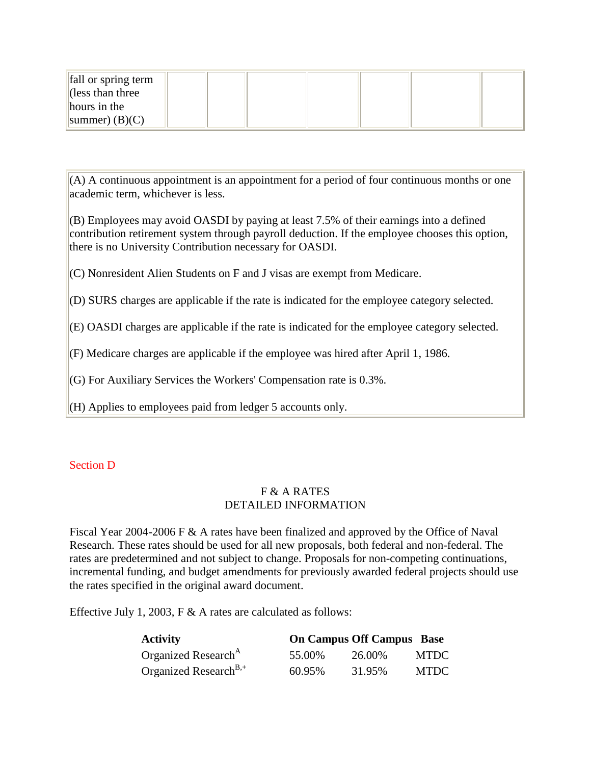| fall or spring term      |  |  |  |
|--------------------------|--|--|--|
| $\vert$ (less than three |  |  |  |
| hours in the             |  |  |  |
| summer) $(B)(C)$         |  |  |  |

 $(A)$  A continuous appointment is an appointment for a period of four continuous months or one academic term, whichever is less.

(B) Employees may avoid OASDI by paying at least 7.5% of their earnings into a defined contribution retirement system through payroll deduction. If the employee chooses this option, there is no University Contribution necessary for OASDI.

(C) Nonresident Alien Students on F and J visas are exempt from Medicare.

(D) SURS charges are applicable if the rate is indicated for the employee category selected.

(E) OASDI charges are applicable if the rate is indicated for the employee category selected.

(F) Medicare charges are applicable if the employee was hired after April 1, 1986.

(G) For Auxiliary Services the Workers' Compensation rate is 0.3%.

(H) Applies to employees paid from ledger 5 accounts only.

# Section D

# F & A RATES DETAILED INFORMATION

Fiscal Year 2004-2006 F & A rates have been finalized and approved by the Office of Naval Research. These rates should be used for all new proposals, both federal and non-federal. The rates are predetermined and not subject to change. Proposals for non-competing continuations, incremental funding, and budget amendments for previously awarded federal projects should use the rates specified in the original award document.

Effective July 1, 2003, F  $\&$  A rates are calculated as follows:

| <b>Activity</b>                   |        | <b>On Campus Off Campus Base</b> |             |
|-----------------------------------|--------|----------------------------------|-------------|
| Organized Research <sup>A</sup>   | 55.00% | 26.00%                           | <b>MTDC</b> |
| Organized Research <sup>B,+</sup> | 60.95% | 31.95%                           | <b>MTDC</b> |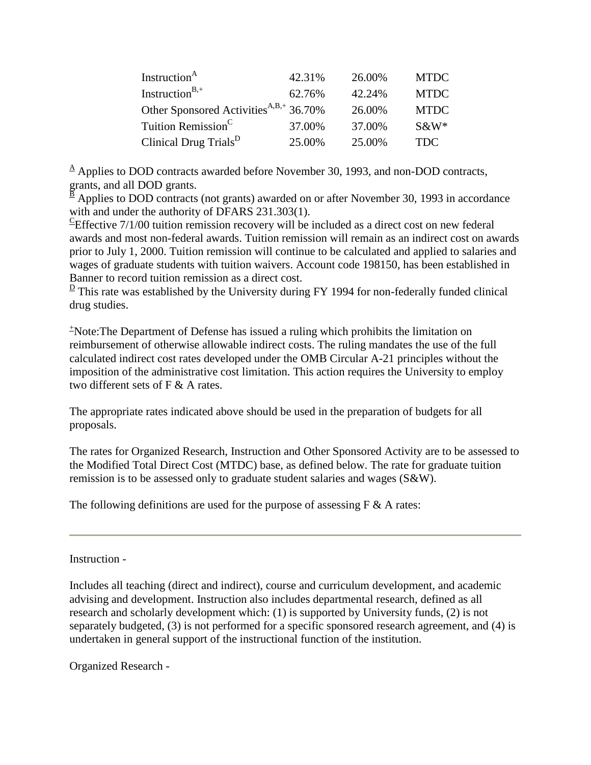| Instruction <sup>A</sup>                           | 42.31% | 26.00% | <b>MTDC</b> |
|----------------------------------------------------|--------|--------|-------------|
| Instruction <sup>B,+</sup>                         | 62.76% | 42.24% | <b>MTDC</b> |
| Other Sponsored Activities <sup>A,B,+</sup> 36.70% |        | 26.00% | <b>MTDC</b> |
| Tuition Remission <sup>C</sup>                     | 37.00% | 37.00% | $S\&W^*$    |
| Clinical Drug Trials <sup>D</sup>                  | 25.00% | 25.00% | <b>TDC</b>  |

 $\triangle$  Applies to DOD contracts awarded before November 30, 1993, and non-DOD contracts, grants, and all DOD grants.

 $\frac{\overline{B}}{A}$  Applies to DOD contracts (not grants) awarded on or after November 30, 1993 in accordance with and under the authority of DFARS 231.303(1).

 ${}^{\text{c}}$ Effective 7/1/00 tuition remission recovery will be included as a direct cost on new federal awards and most non-federal awards. Tuition remission will remain as an indirect cost on awards prior to July 1, 2000. Tuition remission will continue to be calculated and applied to salaries and wages of graduate students with tuition waivers. Account code 198150, has been established in Banner to record tuition remission as a direct cost.

 $\overline{D}$  This rate was established by the University during FY 1994 for non-federally funded clinical drug studies.

+ Note:The Department of Defense has issued a ruling which prohibits the limitation on reimbursement of otherwise allowable indirect costs. The ruling mandates the use of the full calculated indirect cost rates developed under the OMB Circular A-21 principles without the imposition of the administrative cost limitation. This action requires the University to employ two different sets of F & A rates.

The appropriate rates indicated above should be used in the preparation of budgets for all proposals.

The rates for Organized Research, Instruction and Other Sponsored Activity are to be assessed to the Modified Total Direct Cost (MTDC) base, as defined below. The rate for graduate tuition remission is to be assessed only to graduate student salaries and wages (S&W).

The following definitions are used for the purpose of assessing  $F \& A$  rates:

Instruction -

Includes all teaching (direct and indirect), course and curriculum development, and academic advising and development. Instruction also includes departmental research, defined as all research and scholarly development which: (1) is supported by University funds, (2) is not separately budgeted, (3) is not performed for a specific sponsored research agreement, and (4) is undertaken in general support of the instructional function of the institution.

Organized Research -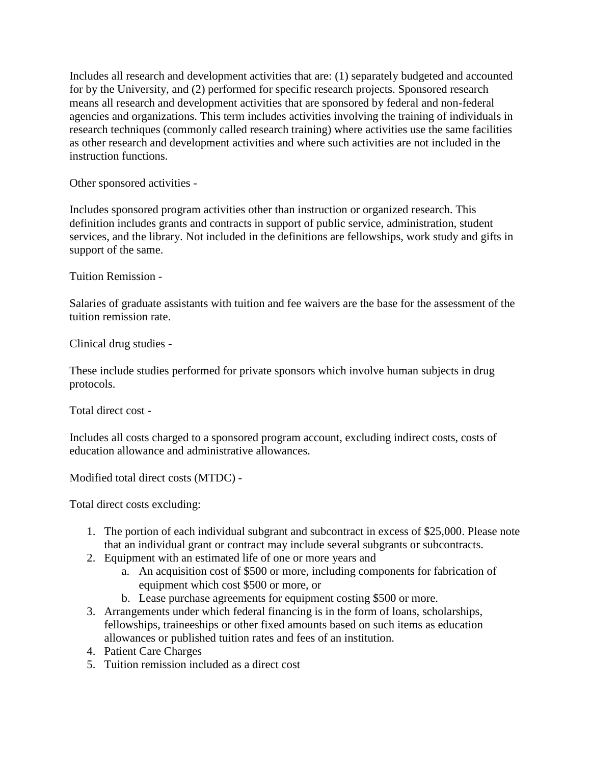Includes all research and development activities that are: (1) separately budgeted and accounted for by the University, and (2) performed for specific research projects. Sponsored research means all research and development activities that are sponsored by federal and non-federal agencies and organizations. This term includes activities involving the training of individuals in research techniques (commonly called research training) where activities use the same facilities as other research and development activities and where such activities are not included in the instruction functions.

Other sponsored activities -

Includes sponsored program activities other than instruction or organized research. This definition includes grants and contracts in support of public service, administration, student services, and the library. Not included in the definitions are fellowships, work study and gifts in support of the same.

Tuition Remission -

Salaries of graduate assistants with tuition and fee waivers are the base for the assessment of the tuition remission rate.

Clinical drug studies -

These include studies performed for private sponsors which involve human subjects in drug protocols.

Total direct cost -

Includes all costs charged to a sponsored program account, excluding indirect costs, costs of education allowance and administrative allowances.

Modified total direct costs (MTDC) -

Total direct costs excluding:

- 1. The portion of each individual subgrant and subcontract in excess of \$25,000. Please note that an individual grant or contract may include several subgrants or subcontracts.
- 2. Equipment with an estimated life of one or more years and
	- a. An acquisition cost of \$500 or more, including components for fabrication of equipment which cost \$500 or more, or
	- b. Lease purchase agreements for equipment costing \$500 or more.
- 3. Arrangements under which federal financing is in the form of loans, scholarships, fellowships, traineeships or other fixed amounts based on such items as education allowances or published tuition rates and fees of an institution.
- 4. Patient Care Charges
- 5. Tuition remission included as a direct cost